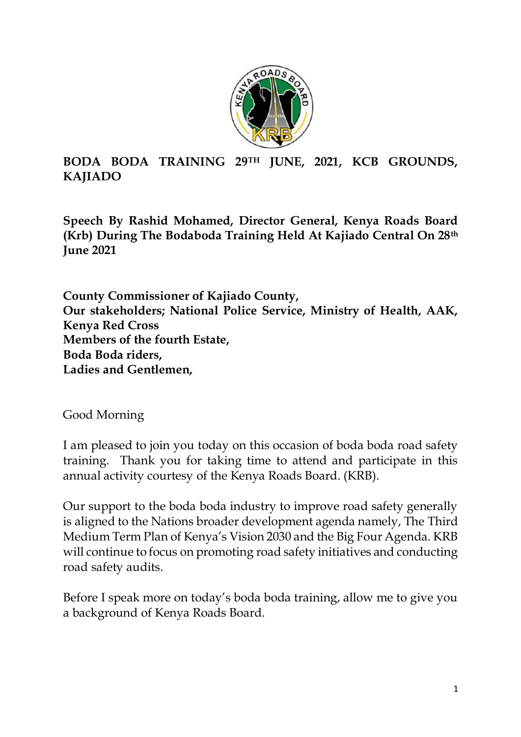

## **BODA BODA TRAINING 29TH JUNE, 2021, KCB GROUNDS, KAJIADO**

**Speech By Rashid Mohamed, Director General, Kenya Roads Board (Krb) During The Bodaboda Training Held At Kajiado Central On 28th June 2021** 

**County Commissioner of Kajiado County, Our stakeholders; National Police Service, Ministry of Health, AAK, Kenya Red Cross Members of the fourth Estate, Boda Boda riders, Ladies and Gentlemen,** 

Good Morning

I am pleased to join you today on this occasion of boda boda road safety training. Thank you for taking time to attend and participate in this annual activity courtesy of the Kenya Roads Board. (KRB).

Our support to the boda boda industry to improve road safety generally is aligned to the Nations broader development agenda namely, The Third Medium Term Plan of Kenya's Vision 2030 and the Big Four Agenda. KRB will continue to focus on promoting road safety initiatives and conducting road safety audits.

Before I speak more on today's boda boda training, allow me to give you a background of Kenya Roads Board.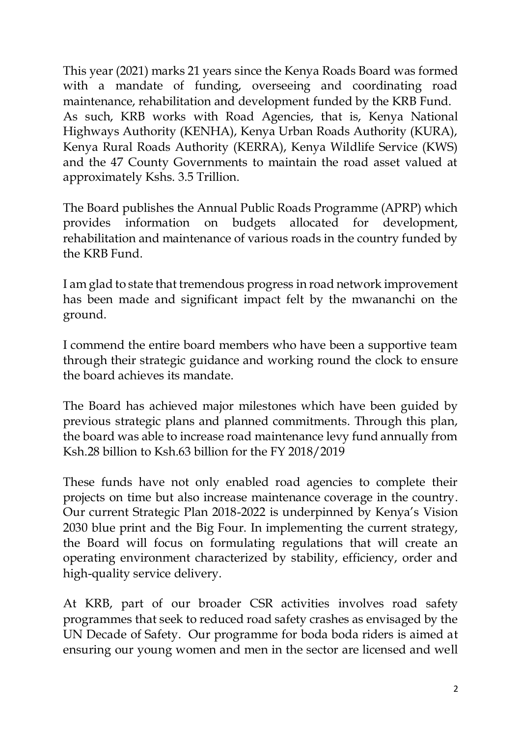This year (2021) marks 21 years since the Kenya Roads Board was formed with a mandate of funding, overseeing and coordinating road maintenance, rehabilitation and development funded by the KRB Fund. As such, KRB works with Road Agencies, that is, Kenya National Highways Authority (KENHA), Kenya Urban Roads Authority (KURA), Kenya Rural Roads Authority (KERRA), Kenya Wildlife Service (KWS) and the 47 County Governments to maintain the road asset valued at approximately Kshs. 3.5 Trillion.

The Board publishes the Annual Public Roads Programme (APRP) which provides information on budgets allocated for development, rehabilitation and maintenance of various roads in the country funded by the KRB Fund.

I am glad to state that tremendous progress in road network improvement has been made and significant impact felt by the mwananchi on the ground.

I commend the entire board members who have been a supportive team through their strategic guidance and working round the clock to ensure the board achieves its mandate.

The Board has achieved major milestones which have been guided by previous strategic plans and planned commitments. Through this plan, the board was able to increase road maintenance levy fund annually from Ksh.28 billion to Ksh.63 billion for the FY 2018/2019

These funds have not only enabled road agencies to complete their projects on time but also increase maintenance coverage in the country. Our current Strategic Plan 2018-2022 is underpinned by Kenya's Vision 2030 blue print and the Big Four. In implementing the current strategy, the Board will focus on formulating regulations that will create an operating environment characterized by stability, efficiency, order and high-quality service delivery.

At KRB, part of our broader CSR activities involves road safety programmes that seek to reduced road safety crashes as envisaged by the UN Decade of Safety. Our programme for boda boda riders is aimed at ensuring our young women and men in the sector are licensed and well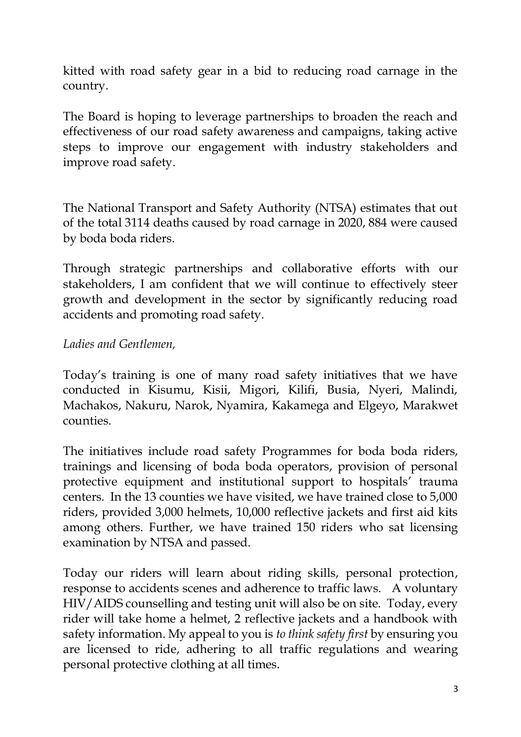kitted with road safety gear in a bid to reducing road carnage in the country.

The Board is hoping to leverage partnerships to broaden the reach and effectiveness of our road safety awareness and campaigns, taking active steps to improve our engagement with industry stakeholders and improve road safety.

The National Transport and Safety Authority (NTSA) estimates that out of the total 3114 deaths caused by road carnage in 2020, 884 were caused by boda boda riders.

Through strategic partnerships and collaborative efforts with our stakeholders, I am confident that we will continue to effectively steer growth and development in the sector by significantly reducing road accidents and promoting road safety.

## *Ladies and Gentlemen,*

Today's training is one of many road safety initiatives that we have conducted in Kisumu, Kisii, Migori, Kilifi, Busia, Nyeri, Malindi, Machakos, Nakuru, Narok, Nyamira, Kakamega and Elgeyo, Marakwet counties.

The initiatives include road safety Programmes for boda boda riders, trainings and licensing of boda boda operators, provision of personal protective equipment and institutional support to hospitals' trauma centers. In the 13 counties we have visited, we have trained close to 5,000 riders, provided 3,000 helmets, 10,000 reflective jackets and first aid kits among others. Further, we have trained 150 riders who sat licensing examination by NTSA and passed.

Today our riders will learn about riding skills, personal protection, response to accidents scenes and adherence to traffic laws. A voluntary HIV/AIDS counselling and testing unit will also be on site. Today, every rider will take home a helmet, 2 reflective jackets and a handbook with safety information. My appeal to you is *to think safety first* by ensuring you are licensed to ride, adhering to all traffic regulations and wearing personal protective clothing at all times.